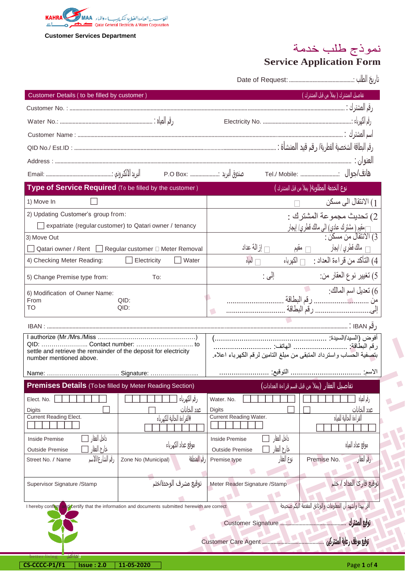

# نموذج طلب خدمة

## **Service Application Form**

Date of Request: ...............................................: الطلب تاريخ

| Customer Details ( to be filled by customer )                                                   |                     |                                          |                                                |             | تفاصيل المشترك ( يملأ من قبل المشترك )                             |
|-------------------------------------------------------------------------------------------------|---------------------|------------------------------------------|------------------------------------------------|-------------|--------------------------------------------------------------------|
|                                                                                                 |                     |                                          |                                                |             |                                                                    |
|                                                                                                 |                     |                                          |                                                |             |                                                                    |
|                                                                                                 |                     |                                          |                                                |             |                                                                    |
|                                                                                                 |                     |                                          |                                                |             |                                                                    |
|                                                                                                 |                     |                                          |                                                |             |                                                                    |
|                                                                                                 |                     |                                          |                                                |             |                                                                    |
| Type of Service Required (To be filled by the customer)                                         |                     |                                          |                                                |             | نوع الخدمة المطلوبة( يملأ من قبل المشترك )                         |
| 1) Move In                                                                                      |                     |                                          |                                                |             | الانتقال الى مسكن $\left(1\right)$                                 |
| 2) Updating Customer's group from:                                                              |                     |                                          |                                                |             | 2) تحديث مجموعة المشترك :                                          |
| expatriate (regular customer) to Qatari owner / tenancy                                         |                     |                                          |                                                |             | ┌ مقيم ( مشترك عادي) الى مالك قطر <i>ي/</i> إيجار                  |
| 3) Move Out                                                                                     |                     |                                          |                                                |             | 3) الانتقال من مسكن :                                              |
| Qatari owner / Rent   Regular customer □ Meter Removal                                          |                     |                                          | از الة عداد $\Box$                             |             |                                                                    |
| 4) Checking Meter Reading:                                                                      | Electricity         | Water                                    | المناه                                         |             | 4) التأكد من قراءة العداد : [ الكهرباء                             |
| 5) Change Premise type from:                                                                    | To:                 |                                          |                                                | إلى :       | 5) تغيير نوع العقار من:                                            |
| 6) Modification of Owner Name:                                                                  |                     |                                          |                                                |             | 6) تعديل اسم المالك:                                               |
| From<br>TO                                                                                      | QID:<br>QID:        |                                          |                                                |             |                                                                    |
|                                                                                                 |                     |                                          |                                                |             |                                                                    |
|                                                                                                 |                     |                                          |                                                |             |                                                                    |
| settle and retrieve the remainder of the deposit for electricity                                |                     |                                          |                                                |             | بتصفية الحساب واسترداد المتبقى من مبلغ التامين لرقم الكهرباء اعلاه |
| number mentioned above.                                                                         |                     |                                          |                                                |             |                                                                    |
|                                                                                                 |                     |                                          |                                                |             |                                                                    |
| <b>Premises Details</b> (To be filled by Meter Reading Section)                                 |                     |                                          |                                                |             | <u>تفاصيل العقار</u> (يملأ من قبل قسم قراءة العدادات) <sub>،</sub> |
| Elect. No.                                                                                      |                     | رقم الكهرباء                             | Water, No.                                     |             | رقہ المیاہ                                                         |
| <b>Digits</b><br><b>Current Reading Elect.</b>                                                  |                     | عدد الخانات<br>♦القراءة الحالية للكهرباء | <b>Digits</b><br><b>Current Reading Water.</b> |             | عدد الخانات<br>القر اءة الحالية للمياه                             |
|                                                                                                 |                     |                                          |                                                |             |                                                                    |
| داخل العقار<br><b>Inside Premise</b>                                                            |                     |                                          | <b>Inside Premise</b>                          | داخل العقار |                                                                    |
| خارج العقار<br><b>Outside Premise</b>                                                           |                     | موقع عداد الكهرباء                       | <b>Outside Premise</b>                         | خارج العقار | موقع عداد المياه                                                   |
| رقم الشارع/الاسم<br>Street No. / Name                                                           | Zone No (Municipal) | قر المنطقة                               | Premise type                                   | نوع العقار  | رقم الققار<br>Premise No.                                          |
|                                                                                                 |                     |                                          |                                                |             |                                                                    |
| Supervisor Signature /Stamp                                                                     |                     | توقيع مشرف الوحدة/ختم                    | Meter Reader Signature / Stamp                 |             | توقيع قارئ العداد / ختم                                            |
| I hereby confirm<br>d'certify that the information and documents submitted herewith are correct |                     |                                          |                                                |             | أقر بهذا وأشهد أن المعلومات والوثائق المقدمة اليكم صحيحة           |
|                                                                                                 |                     |                                          |                                                |             |                                                                    |
|                                                                                                 |                     | O                                        |                                                |             | توقيع المشترك                                                      |
|                                                                                                 |                     |                                          |                                                |             |                                                                    |
| واختناه الأضل<br>better                                                                         |                     |                                          |                                                |             |                                                                    |
| CS-CCCC-P1/F1<br><b>Issue: 2.0</b>                                                              | 11-05-2020          |                                          |                                                |             | Page 1 of 4                                                        |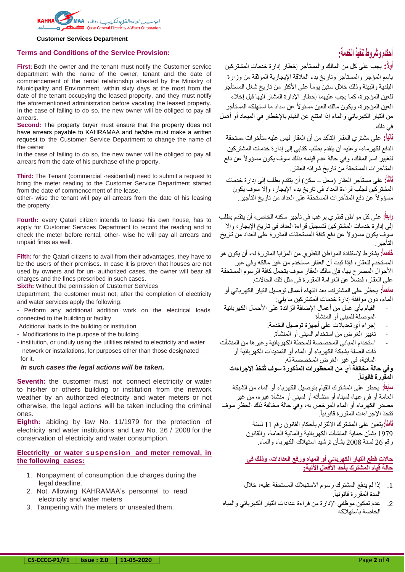

#### **Terms and Conditions of the Service Provision:**

**First:** Both the owner and the tenant must notify the Customer service department with the name of the owner, tenant and the date of commencement of the rental relationship attested by the Ministry of Municipality and Environment, within sixty days at the most from the date of the tenant occupying the leased property, and they must notify the aforementioned administration before vacating the leased property. In the case of failing to do so, the new owner will be obliged to pay all arrears.

**Second:** The property buyer must ensure that the property does not have arrears payable to KAHRAMAA and he/she must make a written request to the Customer Service Department to change the name of the owner

In the case of failing to do so, the new owner will be obliged to pay all arrears from the date of his purchase of the property.

**Third:** The Tenant (commercial -residential) need to submit a request to bring the meter reading to the Customer Service Department started from the date of commencement of the lease.

other- wise the tenant will pay all arrears from the date of his leasing the property

**Fourth:** every Qatari citizen intends to lease his own house, has to apply for Customer Services Department to record the reading and to check the meter before rental, other- wise he will pay all arrears and unpaid fines as well.

**Fifth:** for the Qatari citizens to avail from their advantages, they have to be the users of their premises. In case it is proven that houses are not used by owners and for un- authorized cases, the owner will bear all charges and the fines prescribed in such cases.

**Sixth:** Without the permission of Customer Services

Department, the customer must not, after the completion of electricity and water services apply the following:

- Perform any additional addition work on the electrical loads connected to the building or facility

Additional loads to the building or institution

- Modifications to the purpose of the building

- institution, or unduly using the utilities related to electricity and water network or installations, for purposes other than those designated for it.

#### *In such cases the legal actions will be taken.*

**Seventh:** the customer must not connect electricity or water to his/her or others building or institution from the network weather by an authorized electricity and water meters or not otherwise, the legal actions will be taken including the criminal ones.

**Eighth:** abiding by law No. 11/1979 for the protection of electricity and water institutions and Law No. 26 / 2008 for the conservation of electricity and water consumption.

## **Electricity or water suspension and meter removal, in the following cases:**

- 1. Nonpayment of consumption due charges during the legal deadline.
- 2. Not Allowing KAHRAMAA's personnel to read electricity and water meters
- 3. Tampering with the meters or unsealed them.

## **أحكام وشر وط تنفيذ الخدمة:**

**أولا:** يجب على كل من المالك والمستأجر إخطار إدارة خدمات المشتركين باسم المؤجر والمستأجر وتاريخ بدء العالقة اإليجارية الموثقة من وزارة البلدية والبيئة وذلك خلال ستين يوماً على الأكثر من تاريخ شغل المستأجر للعين المؤجرة، كما يجب عليهما إخطار اإلدارة المشار اليها قبل إخالء العين المؤجرة، ويكون مالك العين مسئوالً عن سداد ما استهلكه المستأجر من التيار الكهربائي والماء إذا امتنع عن القيام باإلخطار في الميعاد أو أهمل في ذلك.

**ثانياا:** على مشتري العقار التأكد من أن العقار ليس عليه متأخرات مستحقة الدفع لكهرماء، وعليه أن يتقدم بطلب كتابي إلى إدارة خدمات المشتركين لتغيير اسم المالك، وفي حالة عدم قيامه بذلك سوف يكون مسؤوالً عن دفع المتأخرات المستحقة من تاريخ شرائه العقار.

**ثالثاا:** على مستأجر العقار )محل – سكن( أن يتقدم بطلب إلى إدارة خدمات المشتركين لجلب قراءة العداد في تاريخ بدء اإليجار، وإال سوف يكون مسؤوالً عن دفع المتأخرات المستحقة على العداد من تاريخ التأجير.

**رابعاا:** على كل مواطن قطري يرغب في تأجير سكنه الخاص، أن يتقدم بطلب إلى إدارة خدمات المشتركين لتسجيل قراءة العداد في تاريخ اإليجار، وإال سوف يكون مسؤوالً عن دفع كافة المستحقات المقررة على العداد من تاريخ التأجير.

**خامساا:** يشترط الستفادة المواطن القطري من المزايا المقررة له، أن يكون هو المستخدم للعقار، فإذا ثبت أن العقار مستخدم من غير مالكه وفي غير األحوال المصرح بها، فإن مالك العقار سوف يتحمل كافة الرسوم المستحقة على العقار، فضالً عن الغرامة المقررة في مثل تلك الحاالت.

**سادساا:** يحظر على المشترك، بعد انتهاء أعمال توصيل التيار الكهربائي أو الماء، دون موافقة إدارة خدمات المشتركين ما يلي:

- القيام بأي عمل من أعمال الإضافة الزائدة على الأحمال الكهربائية الموصلة للمبنى أو المنشأة
	- إجراء أي تعديالت على أجهزة توصيل الخدمة.
		- تغيير الغرض من استخدام المبنى أو المنشأة.
- استخدام المباني المخصصة للمحطة الكهربائية وغيرها من المنشآت ذات الصلة بشبكة الكهرباء أو الماء أو التمديدات الكهربائية أو المائية، في غير الغرض المخصصة له.

## **وفي حالة مخالفة أي من المحظورات المذكورة سوف تُتخذ اإلجراءات المقررة قانوناا.**

**سابعاا:** يحظر على المشترك القيام بتوصيل الكهرباء أو الماء من الشبكة العامة أو فروعها، لمبناه أو منشأته أو لمبنى أو منشأة غيره، من غير مصدر الكهرباء أو الماء المرخص به، وفي حالة مخالفة ذلك الحظر سوف تتخذ اإلجراءات المقررة قانونيا. ً

> **ثامناا:**يتعين على المشترك االلتزام بأحكام القانون رقم 11 لسنة 1979 بشأن حماية المنشآت الكهربائية والمائية العامة، والقانون رقم 26 لسنة 2008 بشأن ترشيد استهالك الكهرباء والماء.

## **حال ت قطع التيار الكهربائي أو المياه ورفع العدادات، وذلك في حالة قيام المشترك بأحد األفعال اآلتية:**

- .1 إذا لم يدفع المشترك رسوم االستهالك المستحقة عليه، خالل المدة المقر ر ة قانو نياً.
- .2 عدم تمكين موظفي اإلدارة من قراءة عدادات التيار الكهربائي والمياه الخاصة باستهالكه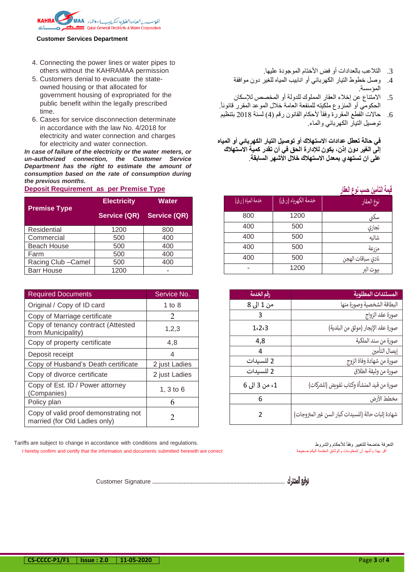

- 4. Connecting the power lines or water pipes to others without the KAHRAMAA permission
- 5. Customers denial to evacuate the stateowned housing or that allocated for government housing of expropriated for the public benefit within the legally prescribed time.
- 6. Cases for service disconnection determinate in accordance with the law No. 4/2018 for electricity and water connection and charges for electricity and water connection.

*In case of failure of the electricity or the water meters, or un-authorized connection, the Customer Service Department has the right to estimate the amount of consumption based on the rate of consumption during the previous months.*

### **Deposit Requirement as per Premise Type**

| <b>Premise Type</b> | <b>Electricity</b>  | Water               |  |
|---------------------|---------------------|---------------------|--|
|                     | <b>Service (QR)</b> | <b>Service (QR)</b> |  |
| Residential         | 1200                | 800                 |  |
| Commercial          | 500                 | 400                 |  |
| <b>Beach House</b>  | 500                 | 400                 |  |
| Farm                | 500                 | 400                 |  |
| Racing Club - Camel | 500                 | 400                 |  |
| <b>Barr House</b>   | 1200                |                     |  |

| <b>Required Documents</b>                                              | Service No.   |
|------------------------------------------------------------------------|---------------|
| Original / Copy of ID card                                             | 1 to $8$      |
| Copy of Marriage certificate                                           | 2             |
| Copy of tenancy contract (Attested<br>from Municipality)               | 1,2,3         |
| Copy of property certificate                                           | 4,8           |
| Deposit receipt                                                        | 4             |
| Copy of Husband's Death certificate                                    | 2 just Ladies |
| Copy of divorce certificate                                            | 2 just Ladies |
| Copy of Est. ID / Power attorney<br>(Companies)                        | 1, $3$ to $6$ |
| Policy plan                                                            | 6             |
| Copy of valid proof demonstrating not<br>married (for Old Ladies only) | 2             |

- 3. التلاعب بالعدادات أو فض الأختام الموجودة عليها.
- 4. وصل خطوط التيار الكهربائي أو انابيب المياه للغير دون موافقة المؤسسة.
- .5 االمتناع عن إخالء العقار المملوك للدولة أو المخصص لإلسكان . الحكومي أو المنزوع ملكيته للمنفعة العامة خالل الموعد المقرر قانوناً
- .6 حاالت القطع المقررة وفقاً ألحكام القانون رقم )4( لسنة 2018 بتنظيم توصيل التيار الكهربائي والماء.

**في حالة تعطل عدادات الستهالك أو توصيل التيار الكهربائي أو المياه إلى الغير دون إذن، يكون لإلدارة الحق في أن تقدر كمية الستهالك على ان تستهدي بمعدل الستهالك خالل األشهر السابقة**.

## **قيمة التأمين حسب نوع العقار**

| خدمة المياه ( ر.ق) | خدمة الكهرباء (ر.ق) | نوع العقار        |
|--------------------|---------------------|-------------------|
| 800                | 1200                | سکنی              |
| 400                | 500                 | تجارى             |
| 400                | 500                 | شاليه             |
| 400                | 500                 | مزرعة             |
| 400                | 500                 | نادي سباقات الهجن |
| -                  | 1200                | بيوت البر         |

| رقم الخدمة    | المستندات المطلوبة                                 |
|---------------|----------------------------------------------------|
| من 1 الی 8    | البطاقة الشخصية وصورة منها                         |
| 3             | صورة عقد الزواج                                    |
| 1.2.3         | صورة عقد الإيجار (موثق من البلدية)                 |
| 4,8           | صورة من سند الملكية                                |
| Δ             | إيصال التأمين                                      |
| 2 للسيدات     | صورة من شهادة وفاة الزوج                           |
| 2 للسيدات     | صورة من وثيقة الطلاق                               |
| 1، من 3 الى 6 | صورة من قيد المنشأة وكتاب تفويض (للشركات)          |
| 6             | مخطط الأرض                                         |
| 2             | شهادة إثبات حالة (للسيدات كبار السن غير المتزوجات) |

التعرفة خاضعة للتغيير وفقاً

فة خاضعة للتغيير وفقاً للأحكام والشروط لمستخدمة للتغيير وفقاً للأحكام والشروط لمستخدمة للتغيير وفقاً للأحكام والشروط<br>أقر بينا واشهد أن العطومات والوثائق العقدمة اليكم صحيحة المستخدمة المستخدمة المستخدمة المستخدمة المستخدم I hereby confirm and certify that the information and documents submitted herewith are correct

توقيع المشترك ............................................................................................. Signature Customer